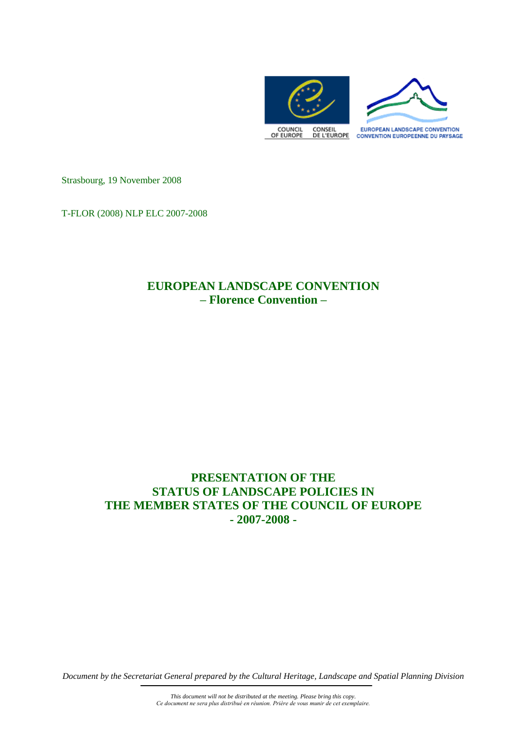

Strasbourg, 19 November 2008

T-FLOR (2008) NLP ELC 2007-2008

# **EUROPEAN LANDSCAPE CONVENTION – Florence Convention –**

# **PRESENTATION OF THE STATUS OF LANDSCAPE POLICIES IN THE MEMBER STATES OF THE COUNCIL OF EUROPE - 2007-2008 -**

*Document by the Secretariat General prepared by the Cultural Heritage, Landscape and Spatial Planning Division*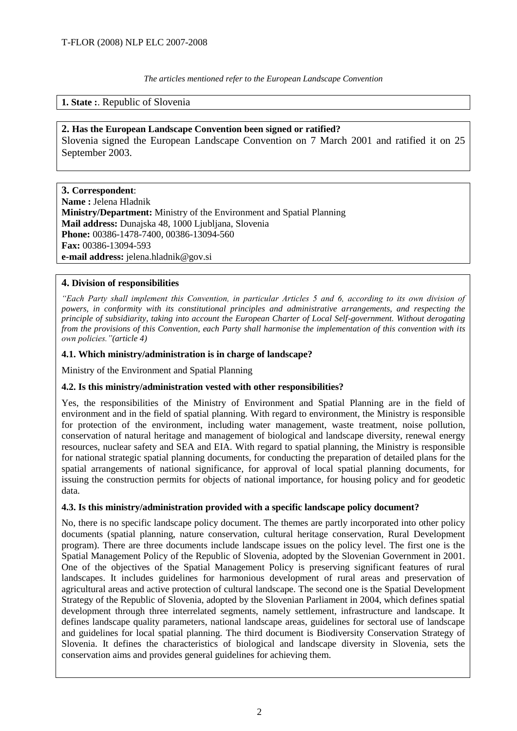*The articles mentioned refer to the European Landscape Convention*

# **1. State :**. Republic of Slovenia

# **2. Has the European Landscape Convention been signed or ratified?**

Slovenia signed the European Landscape Convention on 7 March 2001 and ratified it on 25 September 2003.

**3. Correspondent**: **Name :** Jelena Hladnik **Ministry/Department:** Ministry of the Environment and Spatial Planning **Mail address:** Dunajska 48, 1000 Ljubljana, Slovenia **Phone:** 00386-1478-7400, 00386-13094-560 **Fax:** 00386-13094-593 **e-mail address:** jelena.hladnik@gov.si

# **4. Division of responsibilities**

*"Each Party shall implement this Convention, in particular Articles 5 and 6, according to its own division of powers, in conformity with its constitutional principles and administrative arrangements, and respecting the principle of subsidiarity, taking into account the European Charter of Local Self-government. Without derogating from the provisions of this Convention, each Party shall harmonise the implementation of this convention with its own policies."(article 4)*

# **4.1. Which ministry/administration is in charge of landscape?**

Ministry of the Environment and Spatial Planning

# **4.2. Is this ministry/administration vested with other responsibilities?**

Yes, the responsibilities of the Ministry of Environment and Spatial Planning are in the field of environment and in the field of spatial planning. With regard to environment, the Ministry is responsible for protection of the environment, including water management, waste treatment, noise pollution, conservation of natural heritage and management of biological and landscape diversity, renewal energy resources, nuclear safety and SEA and EIA. With regard to spatial planning, the Ministry is responsible for national strategic spatial planning documents, for conducting the preparation of detailed plans for the spatial arrangements of national significance, for approval of local spatial planning documents, for issuing the construction permits for objects of national importance, for housing policy and for geodetic data.

# **4.3. Is this ministry/administration provided with a specific landscape policy document?**

No, there is no specific landscape policy document. The themes are partly incorporated into other policy documents (spatial planning, nature conservation, cultural heritage conservation, Rural Development program). There are three documents include landscape issues on the policy level. The first one is the Spatial Management Policy of the Republic of Slovenia, adopted by the Slovenian Government in 2001. One of the objectives of the Spatial Management Policy is preserving significant features of rural landscapes. It includes guidelines for harmonious development of rural areas and preservation of agricultural areas and active protection of cultural landscape. The second one is the Spatial Development Strategy of the Republic of Slovenia, adopted by the Slovenian Parliament in 2004, which defines spatial development through three interrelated segments, namely settlement, infrastructure and landscape. It defines landscape quality parameters, national landscape areas, guidelines for sectoral use of landscape and guidelines for local spatial planning. The third document is Biodiversity Conservation Strategy of Slovenia. It defines the characteristics of biological and landscape diversity in Slovenia, sets the conservation aims and provides general guidelines for achieving them.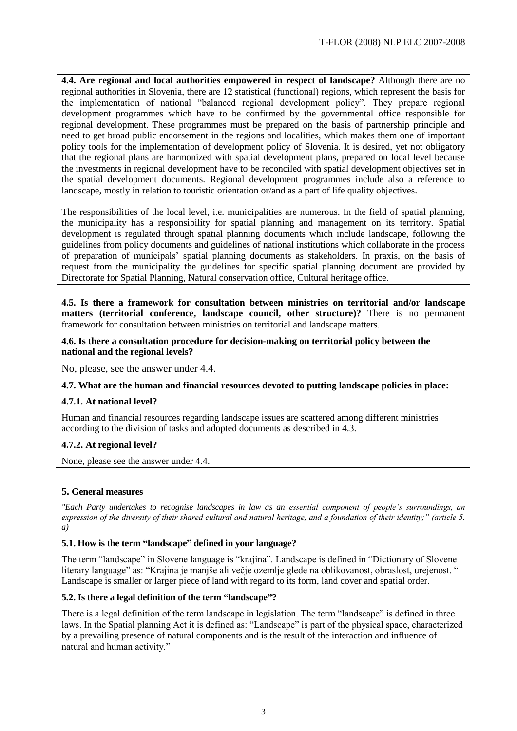**4.4. Are regional and local authorities empowered in respect of landscape?** Although there are no regional authorities in Slovenia, there are 12 statistical (functional) regions, which represent the basis for the implementation of national "balanced regional development policy". They prepare regional development programmes which have to be confirmed by the governmental office responsible for regional development. These programmes must be prepared on the basis of partnership principle and need to get broad public endorsement in the regions and localities, which makes them one of important policy tools for the implementation of development policy of Slovenia. It is desired, yet not obligatory that the regional plans are harmonized with spatial development plans, prepared on local level because the investments in regional development have to be reconciled with spatial development objectives set in the spatial development documents. Regional development programmes include also a reference to landscape, mostly in relation to touristic orientation or/and as a part of life quality objectives.

The responsibilities of the local level, i.e. municipalities are numerous. In the field of spatial planning, the municipality has a responsibility for spatial planning and management on its territory. Spatial development is regulated through spatial planning documents which include landscape, following the guidelines from policy documents and guidelines of national institutions which collaborate in the process of preparation of municipals' spatial planning documents as stakeholders. In praxis, on the basis of request from the municipality the guidelines for specific spatial planning document are provided by Directorate for Spatial Planning, Natural conservation office, Cultural heritage office.

**4.5. Is there a framework for consultation between ministries on territorial and/or landscape matters (territorial conference, landscape council, other structure)?** There is no permanent framework for consultation between ministries on territorial and landscape matters.

**4.6. Is there a consultation procedure for decision-making on territorial policy between the national and the regional levels?**

No, please, see the answer under 4.4.

# **4.7. What are the human and financial resources devoted to putting landscape policies in place:**

# **4.7.1. At national level?**

Human and financial resources regarding landscape issues are scattered among different ministries according to the division of tasks and adopted documents as described in 4.3.

# **4.7.2. At regional level?**

None, please see the answer under 4.4.

# **5. General measures**

*"Each Party undertakes to recognise landscapes in law as an essential component of people's surroundings, an expression of the diversity of their shared cultural and natural heritage, and a foundation of their identity;" (article 5. a)*

# **5.1. How is the term "landscape" defined in your language?**

The term "landscape" in Slovene language is "krajina". Landscape is defined in "Dictionary of Slovene literary language" as: "Krajina je manjše ali večje ozemlje glede na oblikovanost, obraslost, urejenost. " Landscape is smaller or larger piece of land with regard to its form, land cover and spatial order.

# **5.2. Is there a legal definition of the term "landscape"?**

There is a legal definition of the term landscape in legislation. The term "landscape" is defined in three laws. In the Spatial planning Act it is defined as: "Landscape" is part of the physical space, characterized by a prevailing presence of natural components and is the result of the interaction and influence of natural and human activity."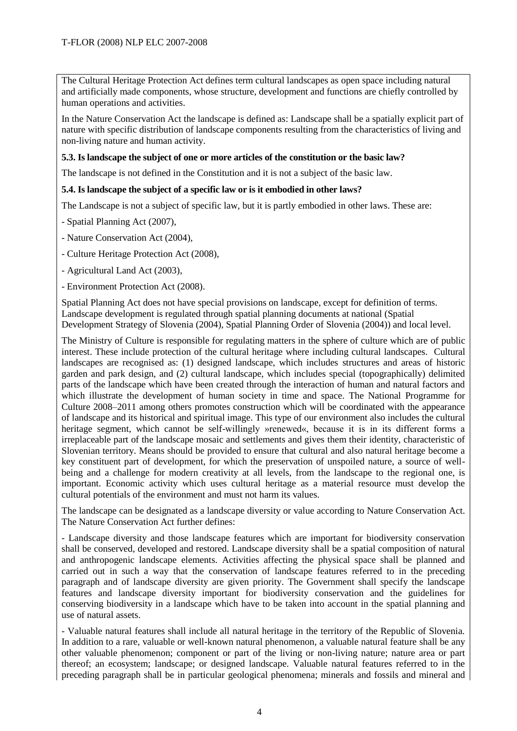The Cultural Heritage Protection Act defines term cultural landscapes as open space including natural and artificially made components, whose structure, development and functions are chiefly controlled by human operations and activities.

In the Nature Conservation Act the landscape is defined as: Landscape shall be a spatially explicit part of nature with specific distribution of landscape components resulting from the characteristics of living and non-living nature and human activity.

#### **5.3. Is landscape the subject of one or more articles of the constitution or the basic law?**

The landscape is not defined in the Constitution and it is not a subject of the basic law.

#### **5.4. Is landscape the subject of a specific law or is it embodied in other laws?**

The Landscape is not a subject of specific law, but it is partly embodied in other laws. These are:

- Spatial Planning Act (2007),

- Nature Conservation Act (2004),
- Culture Heritage Protection Act (2008),
- Agricultural Land Act (2003),
- Environment Protection Act (2008).

Spatial Planning Act does not have special provisions on landscape, except for definition of terms. Landscape development is regulated through spatial planning documents at national (Spatial Development Strategy of Slovenia (2004), Spatial Planning Order of Slovenia (2004)) and local level.

The Ministry of Culture is responsible for regulating matters in the sphere of culture which are of public interest. These include protection of the cultural heritage where including cultural landscapes. Cultural landscapes are recognised as: (1) designed landscape, which includes structures and areas of historic garden and park design, and (2) cultural landscape, which includes special (topographically) delimited parts of the landscape which have been created through the interaction of human and natural factors and which illustrate the development of human society in time and space. The National Programme for Culture 2008–2011 among others promotes construction which will be coordinated with the appearance of landscape and its historical and spiritual image. This type of our environment also includes the cultural heritage segment, which cannot be self-willingly »renewed«, because it is in its different forms a irreplaceable part of the landscape mosaic and settlements and gives them their identity, characteristic of Slovenian territory. Means should be provided to ensure that cultural and also natural heritage become a key constituent part of development, for which the preservation of unspoiled nature, a source of wellbeing and a challenge for modern creativity at all levels, from the landscape to the regional one, is important. Economic activity which uses cultural heritage as a material resource must develop the cultural potentials of the environment and must not harm its values.

The landscape can be designated as a landscape diversity or value according to Nature Conservation Act. The Nature Conservation Act further defines:

- Landscape diversity and those landscape features which are important for biodiversity conservation shall be conserved, developed and restored. Landscape diversity shall be a spatial composition of natural and anthropogenic landscape elements. Activities affecting the physical space shall be planned and carried out in such a way that the conservation of landscape features referred to in the preceding paragraph and of landscape diversity are given priority. The Government shall specify the landscape features and landscape diversity important for biodiversity conservation and the guidelines for conserving biodiversity in a landscape which have to be taken into account in the spatial planning and use of natural assets.

- Valuable natural features shall include all natural heritage in the territory of the Republic of Slovenia. In addition to a rare, valuable or well-known natural phenomenon, a valuable natural feature shall be any other valuable phenomenon; component or part of the living or non-living nature; nature area or part thereof; an ecosystem; landscape; or designed landscape. Valuable natural features referred to in the preceding paragraph shall be in particular geological phenomena; minerals and fossils and mineral and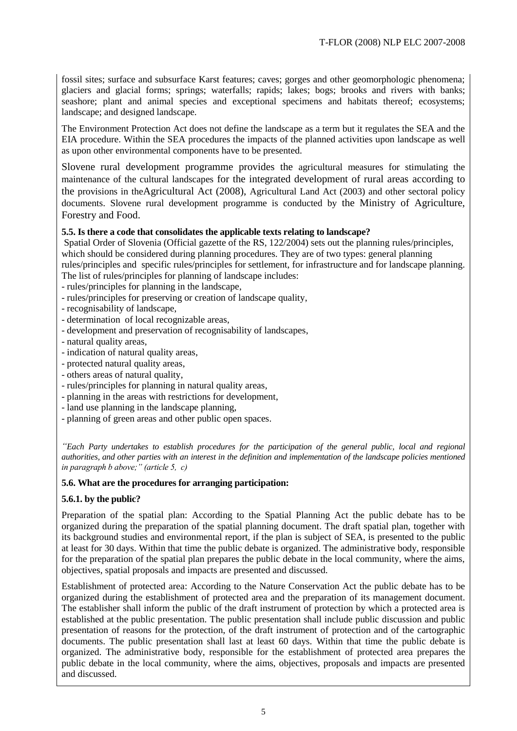fossil sites; surface and subsurface Karst features; caves; gorges and other geomorphologic phenomena; glaciers and glacial forms; springs; waterfalls; rapids; lakes; bogs; brooks and rivers with banks; seashore; plant and animal species and exceptional specimens and habitats thereof; ecosystems; landscape; and designed landscape.

The Environment Protection Act does not define the landscape as a term but it regulates the SEA and the EIA procedure. Within the SEA procedures the impacts of the planned activities upon landscape as well as upon other environmental components have to be presented.

Slovene rural development programme provides the agricultural measures for stimulating the maintenance of the cultural landscapes for the integrated development of rural areas according to the provisions in theAgricultural Act (2008), Agricultural Land Act (2003) and other sectoral policy documents. Slovene rural development programme is conducted by the Ministry of Agriculture, Forestry and Food.

# **5.5. Is there a code that consolidates the applicable texts relating to landscape?**

Spatial Order of Slovenia (Official gazette of the RS, 122/2004) sets out the planning rules/principles, which should be considered during planning procedures. They are of two types: general planning rules/principles and specific rules/principles for settlement, for infrastructure and for landscape planning. The list of rules/principles for planning of landscape includes:

- rules/principles for planning in the landscape,
- rules/principles for preserving or creation of landscape quality,
- recognisability of landscape,
- determination of local recognizable areas,
- development and preservation of recognisability of landscapes,
- natural quality areas,
- indication of natural quality areas,
- protected natural quality areas,
- others areas of natural quality,
- rules/principles for planning in natural quality areas,
- planning in the areas with restrictions for development,
- land use planning in the landscape planning,
- planning of green areas and other public open spaces.

*"Each Party undertakes to establish procedures for the participation of the general public, local and regional authorities, and other parties with an interest in the definition and implementation of the landscape policies mentioned in paragraph b above;" (article 5, c)*

# **5.6. What are the procedures for arranging participation:**

# **5.6.1. by the public?**

Preparation of the spatial plan: According to the Spatial Planning Act the public debate has to be organized during the preparation of the spatial planning document. The draft spatial plan, together with its background studies and environmental report, if the plan is subject of SEA, is presented to the public at least for 30 days. Within that time the public debate is organized. The administrative body, responsible for the preparation of the spatial plan prepares the public debate in the local community, where the aims, objectives, spatial proposals and impacts are presented and discussed.

Establishment of protected area: According to the Nature Conservation Act the public debate has to be organized during the establishment of protected area and the preparation of its management document. The establisher shall inform the public of the draft instrument of protection by which a protected area is established at the public presentation. The public presentation shall include public discussion and public presentation of reasons for the protection, of the draft instrument of protection and of the cartographic documents. The public presentation shall last at least 60 days. Within that time the public debate is organized. The administrative body, responsible for the establishment of protected area prepares the public debate in the local community, where the aims, objectives, proposals and impacts are presented and discussed.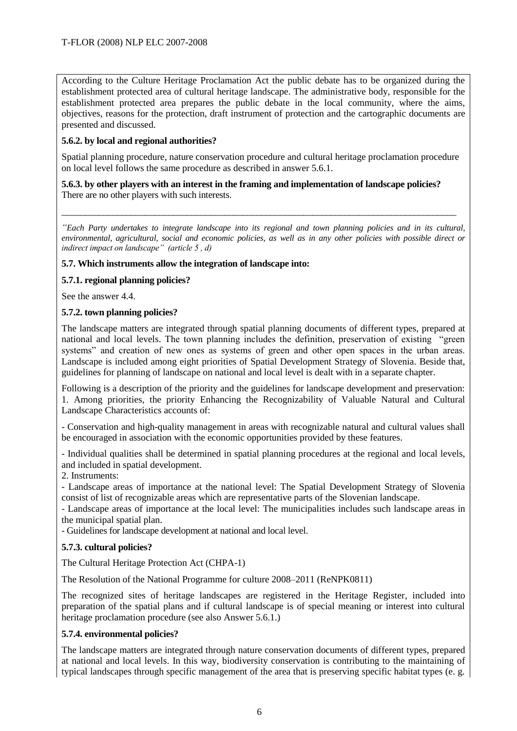According to the Culture Heritage Proclamation Act the public debate has to be organized during the establishment protected area of cultural heritage landscape. The administrative body, responsible for the establishment protected area prepares the public debate in the local community, where the aims, objectives, reasons for the protection, draft instrument of protection and the cartographic documents are presented and discussed.

# **5.6.2. by local and regional authorities?**

Spatial planning procedure, nature conservation procedure and cultural heritage proclamation procedure on local level follows the same procedure as described in answer 5.6.1.

#### **5.6.3. by other players with an interest in the framing and implementation of landscape policies?** There are no other players with such interests.

*"Each Party undertakes to integrate landscape into its regional and town planning policies and in its cultural, environmental, agricultural, social and economic policies, as well as in any other policies with possible direct or indirect impact on landscape" (article 5 , d)*

\_\_\_\_\_\_\_\_\_\_\_\_\_\_\_\_\_\_\_\_\_\_\_\_\_\_\_\_\_\_\_\_\_\_\_\_\_\_\_\_\_\_\_\_\_\_\_\_\_\_\_\_\_\_\_\_\_\_\_\_\_\_\_\_\_\_\_\_\_\_\_\_\_\_\_\_\_\_\_\_\_\_\_\_\_

#### **5.7. Which instruments allow the integration of landscape into:**

# **5.7.1. regional planning policies?**

See the answer 4.4.

#### **5.7.2. town planning policies?**

The landscape matters are integrated through spatial planning documents of different types, prepared at national and local levels. The town planning includes the definition, preservation of existing "green systems" and creation of new ones as systems of green and other open spaces in the urban areas. Landscape is included among eight priorities of Spatial Development Strategy of Slovenia. Beside that, guidelines for planning of landscape on national and local level is dealt with in a separate chapter.

Following is a description of the priority and the guidelines for landscape development and preservation: 1. Among priorities, the priority Enhancing the Recognizability of Valuable Natural and Cultural Landscape Characteristics accounts of:

- Conservation and high-quality management in areas with recognizable natural and cultural values shall be encouraged in association with the economic opportunities provided by these features.

- Individual qualities shall be determined in spatial planning procedures at the regional and local levels, and included in spatial development.

2. Instruments:

- Landscape areas of importance at the national level: The Spatial Development Strategy of Slovenia consist of list of recognizable areas which are representative parts of the Slovenian landscape.

- Landscape areas of importance at the local level: The municipalities includes such landscape areas in the municipal spatial plan.

- Guidelines for landscape development at national and local level.

# **5.7.3. cultural policies?**

The Cultural Heritage Protection Act (CHPA-1)

The Resolution of the National Programme for culture 2008–2011 (ReNPK0811)

The recognized sites of heritage landscapes are registered in the Heritage Register, included into preparation of the spatial plans and if cultural landscape is of special meaning or interest into cultural heritage proclamation procedure (see also Answer 5.6.1.)

# **5.7.4. environmental policies?**

The landscape matters are integrated through nature conservation documents of different types, prepared at national and local levels. In this way, biodiversity conservation is contributing to the maintaining of typical landscapes through specific management of the area that is preserving specific habitat types (e. g.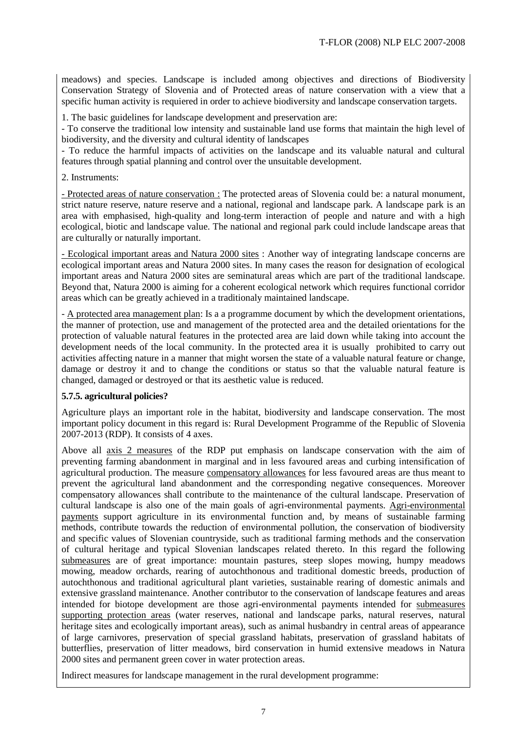meadows) and species. Landscape is included among objectives and directions of Biodiversity Conservation Strategy of Slovenia and of Protected areas of nature conservation with a view that a specific human activity is requiered in order to achieve biodiversity and landscape conservation targets.

1. The basic guidelines for landscape development and preservation are:

- To conserve the traditional low intensity and sustainable land use forms that maintain the high level of biodiversity, and the diversity and cultural identity of landscapes

- To reduce the harmful impacts of activities on the landscape and its valuable natural and cultural features through spatial planning and control over the unsuitable development.

2. Instruments:

- Protected areas of nature conservation : The protected areas of Slovenia could be: a natural monument, strict nature reserve, nature reserve and a national, regional and landscape park. A landscape park is an area with emphasised, high-quality and long-term interaction of people and nature and with a high ecological, biotic and landscape value. The national and regional park could include landscape areas that are culturally or naturally important.

- Ecological important areas and Natura 2000 sites : Another way of integrating landscape concerns are ecological important areas and Natura 2000 sites. In many cases the reason for designation of ecological important areas and Natura 2000 sites are seminatural areas which are part of the traditional landscape. Beyond that, Natura 2000 is aiming for a coherent ecological network which requires functional corridor areas which can be greatly achieved in a traditionaly maintained landscape.

- A protected area management plan: Is a a programme document by which the development orientations, the manner of protection, use and management of the protected area and the detailed orientations for the protection of valuable natural features in the protected area are laid down while taking into account the development needs of the local community. In the protected area it is usually prohibited to carry out activities affecting nature in a manner that might worsen the state of a valuable natural feature or change, damage or destroy it and to change the conditions or status so that the valuable natural feature is changed, damaged or destroyed or that its aesthetic value is reduced.

# **5.7.5. agricultural policies?**

Agriculture plays an important role in the habitat, biodiversity and landscape conservation. The most important policy document in this regard is: Rural Development Programme of the Republic of Slovenia 2007-2013 (RDP). It consists of 4 axes.

Above all axis 2 measures of the RDP put emphasis on landscape conservation with the aim of preventing farming abandonment in marginal and in less favoured areas and curbing intensification of agricultural production. The measure compensatory allowances for less favoured areas are thus meant to prevent the agricultural land abandonment and the corresponding negative consequences. Moreover compensatory allowances shall contribute to the maintenance of the cultural landscape. Preservation of cultural landscape is also one of the main goals of agri-environmental payments. Agri-environmental payments support agriculture in its environmental function and, by means of sustainable farming methods, contribute towards the reduction of environmental pollution, the conservation of biodiversity and specific values of Slovenian countryside, such as traditional farming methods and the conservation of cultural heritage and typical Slovenian landscapes related thereto. In this regard the following submeasures are of great importance: mountain pastures, steep slopes mowing, humpy meadows mowing, meadow orchards, rearing of autochthonous and traditional domestic breeds, production of autochthonous and traditional agricultural plant varieties, sustainable rearing of domestic animals and extensive grassland maintenance. Another contributor to the conservation of landscape features and areas intended for biotope development are those agri-environmental payments intended for submeasures supporting protection areas (water reserves, national and landscape parks, natural reserves, natural heritage sites and ecologically important areas), such as animal husbandry in central areas of appearance of large carnivores, preservation of special grassland habitats, preservation of grassland habitats of butterflies, preservation of litter meadows, bird conservation in humid extensive meadows in Natura 2000 sites and permanent green cover in water protection areas.

Indirect measures for landscape management in the rural development programme: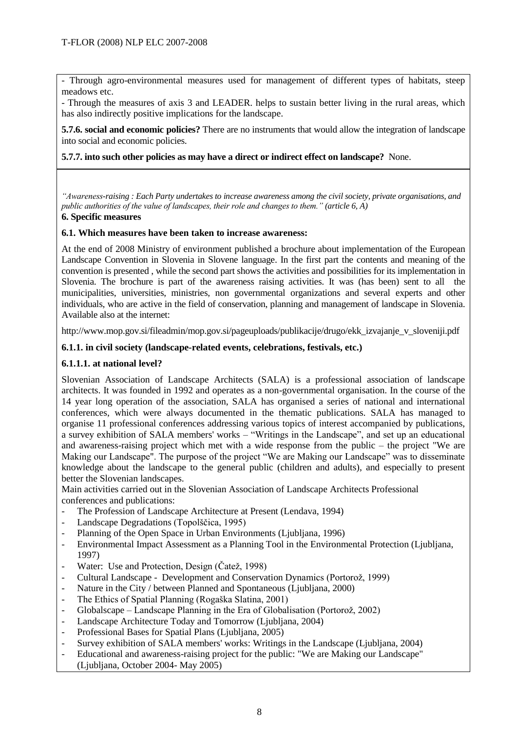- Through agro-environmental measures used for management of different types of habitats, steep meadows etc.

- Through the measures of axis 3 and LEADER. helps to sustain better living in the rural areas, which has also indirectly positive implications for the landscape.

**5.7.6. social and economic policies?** There are no instruments that would allow the integration of landscape into social and economic policies.

#### **5.7.7. into such other policies as may have a direct or indirect effect on landscape?** None.

*"Awareness-raising : Each Party undertakes to increase awareness among the civil society, private organisations, and public authorities of the value of landscapes, their role and changes to them." (article 6, A)*

#### **6. Specific measures**

#### **6.1. Which measures have been taken to increase awareness:**

At the end of 2008 Ministry of environment published a brochure about implementation of the European Landscape Convention in Slovenia in Slovene language. In the first part the contents and meaning of the convention is presented , while the second part shows the activities and possibilities for its implementation in Slovenia. The brochure is part of the awareness raising activities. It was (has been) sent to all the municipalities, universities, ministries, non governmental organizations and several experts and other individuals, who are active in the field of conservation, planning and management of landscape in Slovenia. Available also at the internet:

http://www.mop.gov.si/fileadmin/mop.gov.si/pageuploads/publikacije/drugo/ekk\_izvajanje\_v\_sloveniji.pdf

# **6.1.1. in civil society (landscape-related events, celebrations, festivals, etc.)**

# **6.1.1.1. at national level?**

Slovenian Association of Landscape Architects (SALA) is a professional association of landscape architects. It was founded in 1992 and operates as a non-governmental organisation. In the course of the 14 year long operation of the association, SALA has organised a series of national and international conferences, which were always documented in the thematic publications. SALA has managed to organise 11 professional conferences addressing various topics of interest accompanied by publications, a survey exhibition of SALA members' works – "Writings in the Landscape", and set up an educational and awareness-raising project which met with a wide response from the public – the project "We are Making our Landscape". The purpose of the project "We are Making our Landscape" was to disseminate knowledge about the landscape to the general public (children and adults), and especially to present better the Slovenian landscapes.

Main activities carried out in the Slovenian Association of Landscape Architects Professional conferences and publications:

- The Profession of Landscape Architecture at Present (Lendava, 1994)
- Landscape Degradations (Topolščica, 1995)
- Planning of the Open Space in Urban Environments (Ljubljana, 1996)
- Environmental Impact Assessment as a Planning Tool in the Environmental Protection (Ljubljana, 1997)
- Water: Use and Protection, Design (Čatež, 1998)
- Cultural Landscape Development and Conservation Dynamics (Portorož, 1999)
- Nature in the City / between Planned and Spontaneous (Ljubljana, 2000)
- The Ethics of Spatial Planning (Rogaška Slatina, 2001)
- Globalscape Landscape Planning in the Era of Globalisation (Portorož, 2002)
- Landscape Architecture Today and Tomorrow (Ljubljana, 2004)
- Professional Bases for Spatial Plans (Ljubljana, 2005)
- Survey exhibition of SALA members' works: Writings in the Landscape (Ljubljana, 2004)
- Educational and awareness-raising project for the public: "We are Making our Landscape" (Ljubljana, October 2004- May 2005)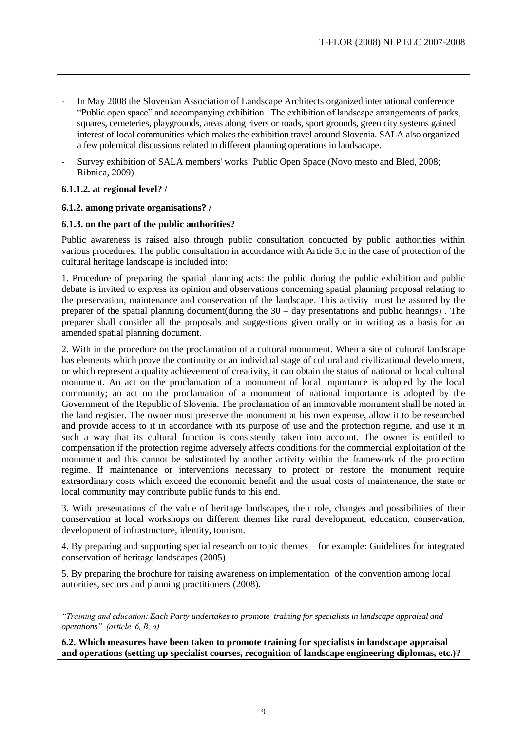- In May 2008 the Slovenian Association of Landscape Architects organized international conference "Public open space" and accompanying exhibition. The exhibition of landscape arrangements of parks, squares, cemeteries, playgrounds, areas along rivers or roads, sport grounds, green city systems gained interest of local communities which makes the exhibition travel around Slovenia. SALA also organized a few polemical discussions related to different planning operations in landsacape.
- Survey exhibition of SALA members' works: Public Open Space (Novo mesto and Bled, 2008; Ribnica, 2009)

# **6.1.1.2. at regional level? /**

# **6.1.2. among private organisations? /**

#### **6.1.3. on the part of the public authorities?**

Public awareness is raised also through public consultation conducted by public authorities within various procedures. The public consultation in accordance with Article 5.c in the case of protection of the cultural heritage landscape is included into:

1. Procedure of preparing the spatial planning acts: the public during the public exhibition and public debate is invited to express its opinion and observations concerning spatial planning proposal relating to the preservation, maintenance and conservation of the landscape. This activity must be assured by the preparer of the spatial planning document(during the 30 – day presentations and public hearings) . The preparer shall consider all the proposals and suggestions given orally or in writing as a basis for an amended spatial planning document.

2. With in the procedure on the proclamation of a cultural monument. When a site of cultural landscape has elements which prove the continuity or an individual stage of cultural and civilizational development, or which represent a quality achievement of creativity, it can obtain the status of national or local cultural monument. An act on the proclamation of a monument of local importance is adopted by the local community; an act on the proclamation of a monument of national importance is adopted by the Government of the Republic of Slovenia. The proclamation of an immovable monument shall be noted in the land register. The owner must preserve the monument at his own expense, allow it to be researched and provide access to it in accordance with its purpose of use and the protection regime, and use it in such a way that its cultural function is consistently taken into account. The owner is entitled to compensation if the protection regime adversely affects conditions for the commercial exploitation of the monument and this cannot be substituted by another activity within the framework of the protection regime. If maintenance or interventions necessary to protect or restore the monument require extraordinary costs which exceed the economic benefit and the usual costs of maintenance, the state or local community may contribute public funds to this end.

3. With presentations of the value of heritage landscapes, their role, changes and possibilities of their conservation at local workshops on different themes like rural development, education, conservation, development of infrastructure, identity, tourism.

4. By preparing and supporting special research on topic themes – for example: Guidelines for integrated conservation of heritage landscapes (2005)

5. By preparing the brochure for raising awareness on implementation of the convention among local autorities, sectors and planning practitioners (2008).

*"Training and education: Each Party undertakes to promote training for specialists in landscape appraisal and operations" (article 6, B, a)*

**6.2. Which measures have been taken to promote training for specialists in landscape appraisal and operations (setting up specialist courses, recognition of landscape engineering diplomas, etc.)?**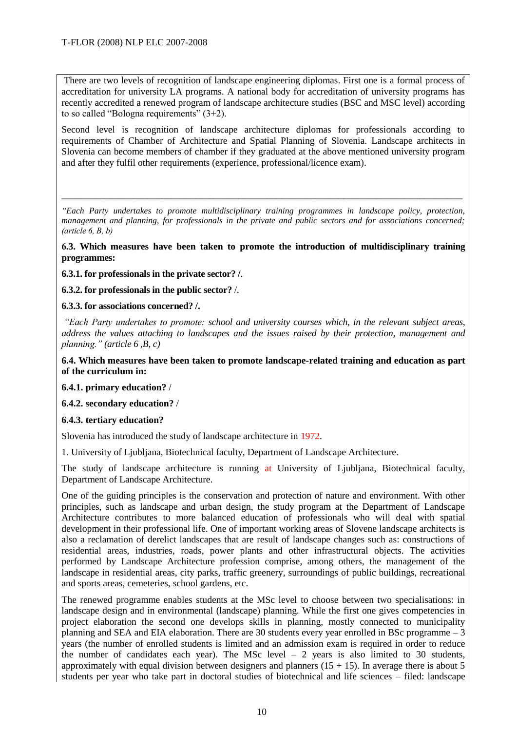There are two levels of recognition of landscape engineering diplomas. First one is a formal process of accreditation for university LA programs. A national body for accreditation of university programs has recently accredited a renewed program of landscape architecture studies (BSC and MSC level) according to so called "Bologna requirements" (3+2).

Second level is recognition of landscape architecture diplomas for professionals according to requirements of Chamber of Architecture and Spatial Planning of Slovenia. Landscape architects in Slovenia can become members of chamber if they graduated at the above mentioned university program and after they fulfil other requirements (experience, professional/licence exam).

*"Each Party undertakes to promote multidisciplinary training programmes in landscape policy, protection, management and planning, for professionals in the private and public sectors and for associations concerned; (article 6, B, b)*

\_\_\_\_\_\_\_\_\_\_\_\_\_\_\_\_\_\_\_\_\_\_\_\_\_\_\_\_\_\_\_\_\_\_\_\_\_\_\_\_\_\_\_\_\_\_\_\_\_\_\_\_\_\_\_\_\_\_\_\_\_\_\_\_\_\_\_\_\_\_\_\_\_\_\_\_\_\_\_\_\_\_\_\_

**6.3. Which measures have been taken to promote the introduction of multidisciplinary training programmes:**

**6.3.1. for professionals in the private sector? /**.

**6.3.2. for professionals in the public sector?** /.

**6.3.3. for associations concerned? /.**

*"Each Party undertakes to promote: school and university courses which, in the relevant subject areas, address the values attaching to landscapes and the issues raised by their protection, management and planning." (article 6 ,B, c)*

**6.4. Which measures have been taken to promote landscape-related training and education as part of the curriculum in:**

**6.4.1. primary education?** /

**6.4.2. secondary education?** /

**6.4.3. tertiary education?**

Slovenia has introduced the study of landscape architecture in 1972.

1. University of Ljubljana, Biotechnical faculty, Department of Landscape Architecture.

The study of landscape architecture is running at University of Ljubljana, Biotechnical faculty, Department of Landscape Architecture.

One of the guiding principles is the conservation and protection of nature and environment. With other principles, such as landscape and urban design, the study program at the Department of Landscape Architecture contributes to more balanced education of professionals who will deal with spatial development in their professional life. One of important working areas of Slovene landscape architects is also a reclamation of derelict landscapes that are result of landscape changes such as: constructions of residential areas, industries, roads, power plants and other infrastructural objects. The activities performed by Landscape Architecture profession comprise, among others, the management of the landscape in residential areas, city parks, traffic greenery, surroundings of public buildings, recreational and sports areas, cemeteries, school gardens, etc.

The renewed programme enables students at the MSc level to choose between two specialisations: in landscape design and in environmental (landscape) planning. While the first one gives competencies in project elaboration the second one develops skills in planning, mostly connected to municipality planning and SEA and EIA elaboration. There are 30 students every year enrolled in BSc programme – 3 years (the number of enrolled students is limited and an admission exam is required in order to reduce the number of candidates each year). The MSc level  $-2$  years is also limited to 30 students, approximately with equal division between designers and planners  $(15 + 15)$ . In average there is about 5 students per year who take part in doctoral studies of biotechnical and life sciences – filed: landscape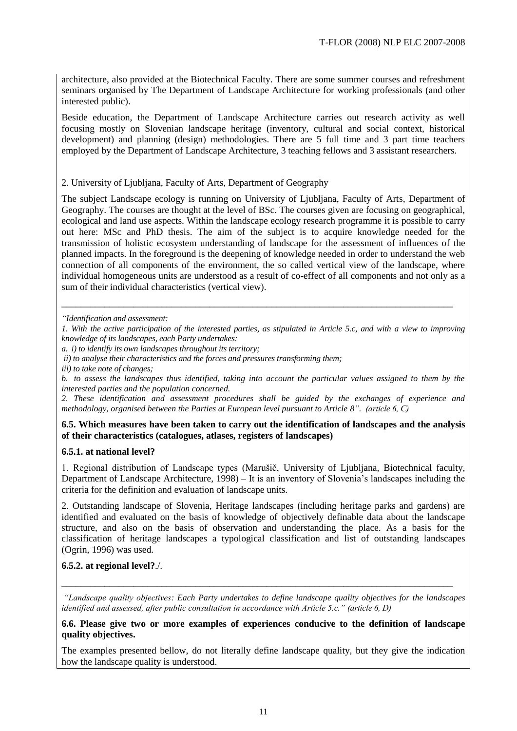architecture, also provided at the Biotechnical Faculty. There are some summer courses and refreshment seminars organised by The Department of Landscape Architecture for working professionals (and other interested public).

Beside education, the Department of Landscape Architecture carries out research activity as well focusing mostly on Slovenian landscape heritage (inventory, cultural and social context, historical development) and planning (design) methodologies. There are 5 full time and 3 part time teachers employed by the Department of Landscape Architecture, 3 teaching fellows and 3 assistant researchers.

#### 2. University of Ljubljana, Faculty of Arts, Department of Geography

The subject Landscape ecology is running on University of Ljubljana, Faculty of Arts, Department of Geography. The courses are thought at the level of BSc. The courses given are focusing on geographical, ecological and land use aspects. Within the landscape ecology research programme it is possible to carry out here: MSc and PhD thesis. The aim of the subject is to acquire knowledge needed for the transmission of holistic ecosystem understanding of landscape for the assessment of influences of the planned impacts. In the foreground is the deepening of knowledge needed in order to understand the web connection of all components of the environment, the so called vertical view of the landscape, where individual homogeneous units are understood as a result of co-effect of all components and not only as a sum of their individual characteristics (vertical view).

*"Identification and assessment:*

\_\_\_\_\_\_\_\_\_\_\_\_\_\_\_\_\_\_\_\_\_\_\_\_\_\_\_\_\_\_\_\_\_\_\_\_\_\_\_\_\_\_\_\_\_\_\_\_\_\_\_\_\_\_\_\_\_\_\_\_\_\_\_\_\_\_\_\_\_\_\_\_\_\_\_\_\_\_\_\_\_\_

*a. i) to identify its own landscapes throughout its territory;*

*iii) to take note of changes;*

*b. to assess the landscapes thus identified, taking into account the particular values assigned to them by the interested parties and the population concerned.*

*2. These identification and assessment procedures shall be guided by the exchanges of experience and methodology, organised between the Parties at European level pursuant to Article 8". (article 6, C)*

#### **6.5. Which measures have been taken to carry out the identification of landscapes and the analysis of their characteristics (catalogues, atlases, registers of landscapes)**

#### **6.5.1. at national level?**

1. Regional distribution of Landscape types (Marušič, University of Ljubljana, Biotechnical faculty, Department of Landscape Architecture, 1998) – It is an inventory of Slovenia's landscapes including the criteria for the definition and evaluation of landscape units.

2. Outstanding landscape of Slovenia, Heritage landscapes (including heritage parks and gardens) are identified and evaluated on the basis of knowledge of objectively definable data about the landscape structure, and also on the basis of observation and understanding the place. As a basis for the classification of heritage landscapes a typological classification and list of outstanding landscapes (Ogrin, 1996) was used.

#### **6.5.2. at regional level?**./.

*"Landscape quality objectives: Each Party undertakes to define landscape quality objectives for the landscapes identified and assessed, after public consultation in accordance with Article 5.c." (article 6, D)*

\_\_\_\_\_\_\_\_\_\_\_\_\_\_\_\_\_\_\_\_\_\_\_\_\_\_\_\_\_\_\_\_\_\_\_\_\_\_\_\_\_\_\_\_\_\_\_\_\_\_\_\_\_\_\_\_\_\_\_\_\_\_\_\_\_\_\_\_\_\_\_\_\_\_\_\_\_\_\_\_\_\_

**6.6. Please give two or more examples of experiences conducive to the definition of landscape quality objectives.**

The examples presented bellow, do not literally define landscape quality, but they give the indication how the landscape quality is understood.

*<sup>1.</sup> With the active participation of the interested parties, as stipulated in Article 5.c, and with a view to improving knowledge of its landscapes, each Party undertakes:* 

*ii) to analyse their characteristics and the forces and pressures transforming them;*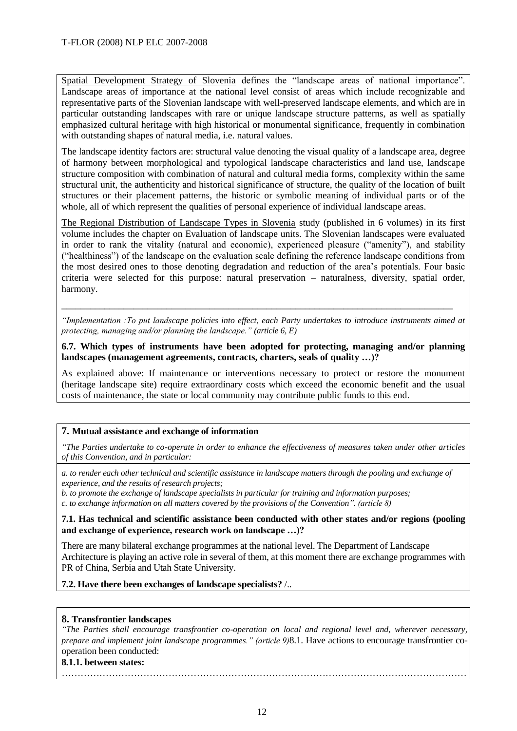Spatial Development Strategy of Slovenia defines the "landscape areas of national importance". Landscape areas of importance at the national level consist of areas which include recognizable and representative parts of the Slovenian landscape with well-preserved landscape elements, and which are in particular outstanding landscapes with rare or unique landscape structure patterns, as well as spatially emphasized cultural heritage with high historical or monumental significance, frequently in combination with outstanding shapes of natural media, i.e. natural values.

The landscape identity factors are: structural value denoting the visual quality of a landscape area, degree of harmony between morphological and typological landscape characteristics and land use, landscape structure composition with combination of natural and cultural media forms, complexity within the same structural unit, the authenticity and historical significance of structure, the quality of the location of built structures or their placement patterns, the historic or symbolic meaning of individual parts or of the whole, all of which represent the qualities of personal experience of individual landscape areas.

The Regional Distribution of Landscape Types in Slovenia study (published in 6 volumes) in its first volume includes the chapter on Evaluation of landscape units. The Slovenian landscapes were evaluated in order to rank the vitality (natural and economic), experienced pleasure ("amenity"), and stability ("healthiness") of the landscape on the evaluation scale defining the reference landscape conditions from the most desired ones to those denoting degradation and reduction of the area's potentials. Four basic criteria were selected for this purpose: natural preservation – naturalness, diversity, spatial order, harmony.

*"Implementation :To put landscape policies into effect, each Party undertakes to introduce instruments aimed at protecting, managing and/or planning the landscape." (article 6, E)*

\_\_\_\_\_\_\_\_\_\_\_\_\_\_\_\_\_\_\_\_\_\_\_\_\_\_\_\_\_\_\_\_\_\_\_\_\_\_\_\_\_\_\_\_\_\_\_\_\_\_\_\_\_\_\_\_\_\_\_\_\_\_\_\_\_\_\_\_\_\_\_\_\_\_\_\_\_\_\_\_\_\_

**6.7. Which types of instruments have been adopted for protecting, managing and/or planning landscapes (management agreements, contracts, charters, seals of quality …)?**

As explained above: If maintenance or interventions necessary to protect or restore the monument (heritage landscape site) require extraordinary costs which exceed the economic benefit and the usual costs of maintenance, the state or local community may contribute public funds to this end.

#### **7. Mutual assistance and exchange of information**

*"The Parties undertake to co-operate in order to enhance the effectiveness of measures taken under other articles of this Convention, and in particular:* 

*a. to render each other technical and scientific assistance in landscape matters through the pooling and exchange of experience, and the results of research projects;*

*b. to promote the exchange of landscape specialists in particular for training and information purposes; c. to exchange information on all matters covered by the provisions of the Convention". (article 8)*

**7.1. Has technical and scientific assistance been conducted with other states and/or regions (pooling and exchange of experience, research work on landscape …)?** 

There are many bilateral exchange programmes at the national level. The Department of Landscape Architecture is playing an active role in several of them, at this moment there are exchange programmes with PR of China, Serbia and Utah State University.

#### **7.2. Have there been exchanges of landscape specialists?** /..

#### **8. Transfrontier landscapes**

*"The Parties shall encourage transfrontier co-operation on local and regional level and, wherever necessary, prepare and implement joint landscape programmes." (article 9)*8.1. Have actions to encourage transfrontier cooperation been conducted:

…………………………………………………………………………………………………………………

#### **8.1.1. between states:**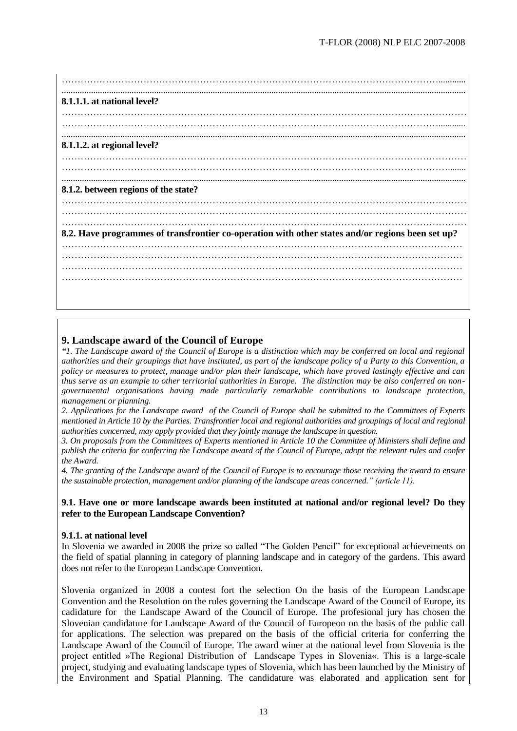| 8.1.1.1. at national level?                                                                      |
|--------------------------------------------------------------------------------------------------|
|                                                                                                  |
|                                                                                                  |
| 8.1.1.2. at regional level?                                                                      |
|                                                                                                  |
|                                                                                                  |
| 8.1.2. between regions of the state?                                                             |
|                                                                                                  |
|                                                                                                  |
| 8.2. Have programmes of transfrontier co-operation with other states and/or regions been set up? |
|                                                                                                  |
|                                                                                                  |
|                                                                                                  |
|                                                                                                  |
|                                                                                                  |

# **9. Landscape award of the Council of Europe**

*"1. The Landscape award of the Council of Europe is a distinction which may be conferred on local and regional authorities and their groupings that have instituted, as part of the landscape policy of a Party to this Convention, a policy or measures to protect, manage and/or plan their landscape, which have proved lastingly effective and can thus serve as an example to other territorial authorities in Europe. The distinction may be also conferred on nongovernmental organisations having made particularly remarkable contributions to landscape protection, management or planning.* 

*2. Applications for the Landscape award of the Council of Europe shall be submitted to the Committees of Experts mentioned in Article 10 by the Parties. Transfrontier local and regional authorities and groupings of local and regional authorities concerned, may apply provided that they jointly manage the landscape in question.*

*3. On proposals from the Committees of Experts mentioned in Article 10 the Committee of Ministers shall define and publish the criteria for conferring the Landscape award of the Council of Europe, adopt the relevant rules and confer the Award.*

*4. The granting of the Landscape award of the Council of Europe is to encourage those receiving the award to ensure the sustainable protection, management and/or planning of the landscape areas concerned." (article 11).*

#### **9.1. Have one or more landscape awards been instituted at national and/or regional level? Do they refer to the European Landscape Convention?**

#### **9.1.1. at national level**

In Slovenia we awarded in 2008 the prize so called "The Golden Pencil" for exceptional achievements on the field of spatial planning in category of planning landscape and in category of the gardens. This award does not refer to the European Landscape Convention.

Slovenia organized in 2008 a contest fort the selection On the basis of the European Landscape Convention and the Resolution on the rules governing the Landscape Award of the Council of Europe, its cadidature for the Landscape Award of the Council of Europe. The profesional jury has chosen the Slovenian candidature for Landscape Award of the Council of Europeon on the basis of the public call for applications. The selection was prepared on the basis of the official criteria for conferring the Landscape Award of the Council of Europe. The award winer at the national level from Slovenia is the project entitled »The Regional Distribution of Landscape Types in Slovenia«. This is a large-scale project, studying and evaluating landscape types of Slovenia, which has been launched by the Ministry of the Environment and Spatial Planning. The candidature was elaborated and application sent for